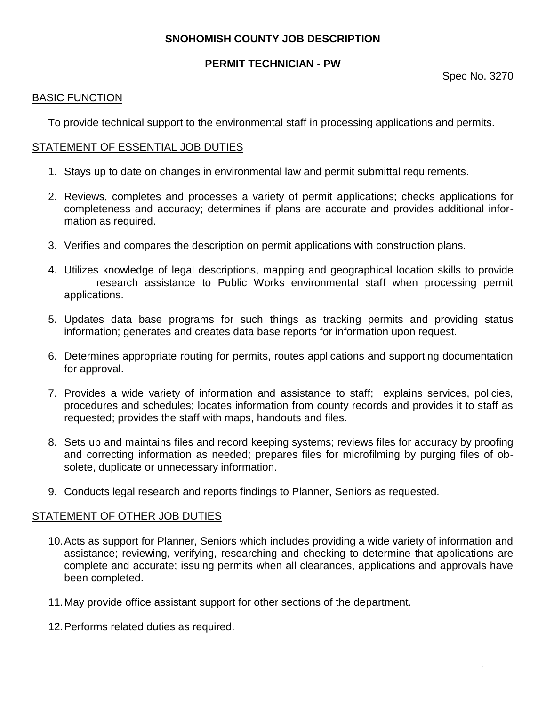# **SNOHOMISH COUNTY JOB DESCRIPTION**

# **PERMIT TECHNICIAN - PW**

#### BASIC FUNCTION

To provide technical support to the environmental staff in processing applications and permits.

#### STATEMENT OF ESSENTIAL JOB DUTIES

- 1. Stays up to date on changes in environmental law and permit submittal requirements.
- 2. Reviews, completes and processes a variety of permit applications; checks applications for completeness and accuracy; determines if plans are accurate and provides additional information as required.
- 3. Verifies and compares the description on permit applications with construction plans.
- 4. Utilizes knowledge of legal descriptions, mapping and geographical location skills to provide research assistance to Public Works environmental staff when processing permit applications.
- 5. Updates data base programs for such things as tracking permits and providing status information; generates and creates data base reports for information upon request.
- 6. Determines appropriate routing for permits, routes applications and supporting documentation for approval.
- 7. Provides a wide variety of information and assistance to staff; explains services, policies, procedures and schedules; locates information from county records and provides it to staff as requested; provides the staff with maps, handouts and files.
- 8. Sets up and maintains files and record keeping systems; reviews files for accuracy by proofing and correcting information as needed; prepares files for microfilming by purging files of obsolete, duplicate or unnecessary information.
- 9. Conducts legal research and reports findings to Planner, Seniors as requested.

### STATEMENT OF OTHER JOB DUTIES

- 10.Acts as support for Planner, Seniors which includes providing a wide variety of information and assistance; reviewing, verifying, researching and checking to determine that applications are complete and accurate; issuing permits when all clearances, applications and approvals have been completed.
- 11.May provide office assistant support for other sections of the department.
- 12.Performs related duties as required.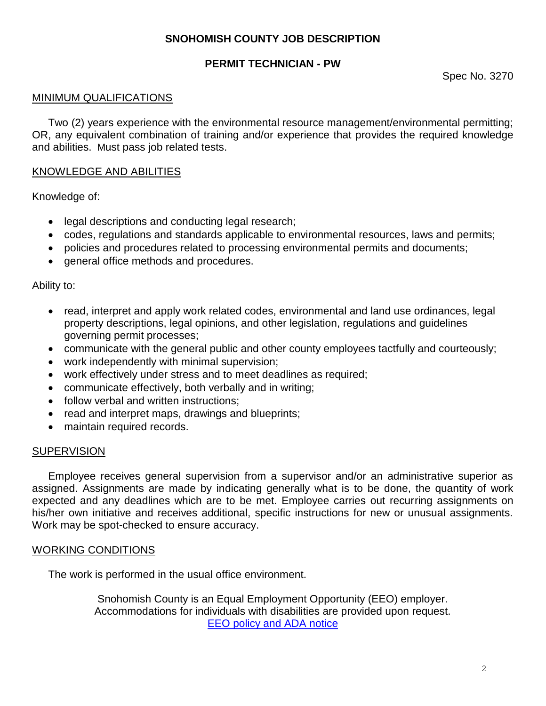# **SNOHOMISH COUNTY JOB DESCRIPTION**

# **PERMIT TECHNICIAN - PW**

Spec No. 3270

## MINIMUM QUALIFICATIONS

Two (2) years experience with the environmental resource management/environmental permitting; OR, any equivalent combination of training and/or experience that provides the required knowledge and abilities. Must pass job related tests.

## KNOWLEDGE AND ABILITIES

Knowledge of:

- legal descriptions and conducting legal research;
- codes, regulations and standards applicable to environmental resources, laws and permits;
- policies and procedures related to processing environmental permits and documents;
- general office methods and procedures.

### Ability to:

- read, interpret and apply work related codes, environmental and land use ordinances, legal property descriptions, legal opinions, and other legislation, regulations and guidelines governing permit processes;
- communicate with the general public and other county employees tactfully and courteously;
- work independently with minimal supervision;
- work effectively under stress and to meet deadlines as required;
- communicate effectively, both verbally and in writing;
- follow verbal and written instructions;
- read and interpret maps, drawings and blueprints;
- maintain required records.

### **SUPERVISION**

Employee receives general supervision from a supervisor and/or an administrative superior as assigned. Assignments are made by indicating generally what is to be done, the quantity of work expected and any deadlines which are to be met. Employee carries out recurring assignments on his/her own initiative and receives additional, specific instructions for new or unusual assignments. Work may be spot-checked to ensure accuracy.

### WORKING CONDITIONS

The work is performed in the usual office environment.

Snohomish County is an Equal Employment Opportunity (EEO) employer. Accommodations for individuals with disabilities are provided upon request. [EEO policy and ADA notice](http://snohomishcountywa.gov/1197/Equal-Employment-Opportunity-Policy)